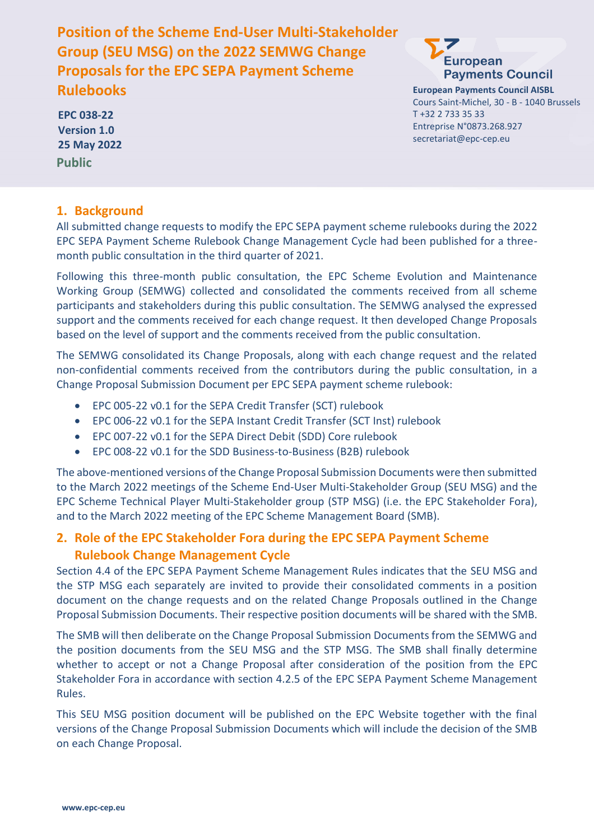**Position of the Scheme End-User Multi-Stakeholder Group (SEU MSG) on the 2022 SEMWG Change Proposals for the EPC SEPA Payment Scheme Rulebooks**



**European Payments Council AISBL** Cours Saint-Michel, 30 - B - 1040 Brussels T +32 2 733 35 33 Entreprise N°0873.268.927 secretariat@epc-cep.eu

**Public EPC 038-22 Version 1.0 25 May 2022**

#### **1. Background**

All submitted change requests to modify the EPC SEPA payment scheme rulebooks during the 2022 EPC SEPA Payment Scheme Rulebook Change Management Cycle had been published for a threemonth public consultation in the third quarter of 2021.

Following this three-month public consultation, the EPC Scheme Evolution and Maintenance Working Group (SEMWG) collected and consolidated the comments received from all scheme participants and stakeholders during this public consultation. The SEMWG analysed the expressed support and the comments received for each change request. It then developed Change Proposals based on the level of support and the comments received from the public consultation.

The SEMWG consolidated its Change Proposals, along with each change request and the related non-confidential comments received from the contributors during the public consultation, in a Change Proposal Submission Document per EPC SEPA payment scheme rulebook:

- EPC 005-22 v0.1 for the SEPA Credit Transfer (SCT) rulebook
- EPC 006-22 v0.1 for the SEPA Instant Credit Transfer (SCT Inst) rulebook
- EPC 007-22 v0.1 for the SEPA Direct Debit (SDD) Core rulebook
- EPC 008-22 v0.1 for the SDD Business-to-Business (B2B) rulebook

The above-mentioned versions of the Change Proposal Submission Documents were then submitted to the March 2022 meetings of the Scheme End-User Multi-Stakeholder Group (SEU MSG) and the EPC Scheme Technical Player Multi-Stakeholder group (STP MSG) (i.e. the EPC Stakeholder Fora), and to the March 2022 meeting of the EPC Scheme Management Board (SMB).

### **2. Role of the EPC Stakeholder Fora during the EPC SEPA Payment Scheme Rulebook Change Management Cycle**

Section 4.4 of the EPC SEPA Payment Scheme Management Rules indicates that the SEU MSG and the STP MSG each separately are invited to provide their consolidated comments in a position document on the change requests and on the related Change Proposals outlined in the Change Proposal Submission Documents. Their respective position documents will be shared with the SMB.

The SMB will then deliberate on the Change Proposal Submission Documents from the SEMWG and the position documents from the SEU MSG and the STP MSG. The SMB shall finally determine whether to accept or not a Change Proposal after consideration of the position from the EPC Stakeholder Fora in accordance with section 4.2.5 of the EPC SEPA Payment Scheme Management Rules.

This SEU MSG position document will be published on the EPC Website together with the final versions of the Change Proposal Submission Documents which will include the decision of the SMB on each Change Proposal.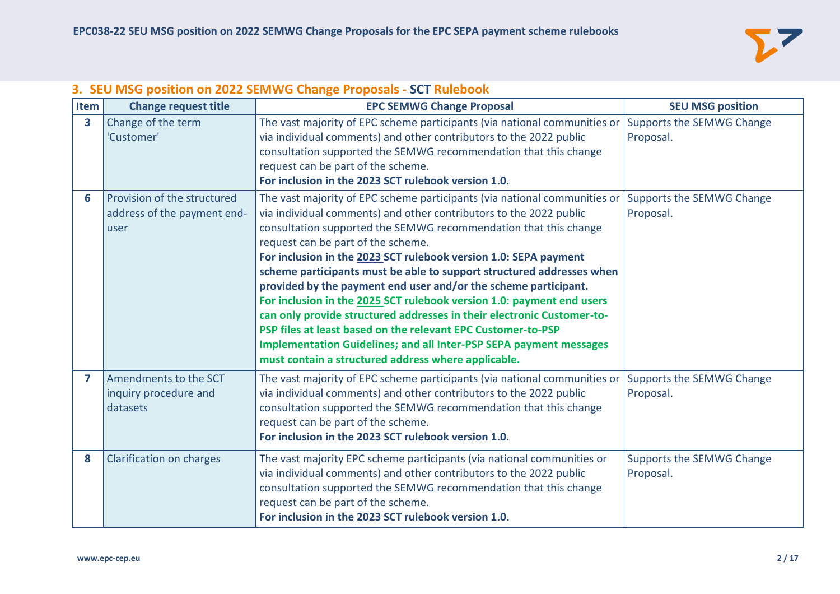

| Item                    | <b>Change request title</b>                                        | <b>EPC SEMWG Change Proposal</b>                                                                                                                                                                                                                                                                                                                                                                                                                                                                                                                                                                                                                                                                                                                                                                                                 | <b>SEU MSG position</b>                |
|-------------------------|--------------------------------------------------------------------|----------------------------------------------------------------------------------------------------------------------------------------------------------------------------------------------------------------------------------------------------------------------------------------------------------------------------------------------------------------------------------------------------------------------------------------------------------------------------------------------------------------------------------------------------------------------------------------------------------------------------------------------------------------------------------------------------------------------------------------------------------------------------------------------------------------------------------|----------------------------------------|
| $\overline{\mathbf{3}}$ | Change of the term<br>'Customer'                                   | The vast majority of EPC scheme participants (via national communities or<br>via individual comments) and other contributors to the 2022 public<br>consultation supported the SEMWG recommendation that this change<br>request can be part of the scheme.<br>For inclusion in the 2023 SCT rulebook version 1.0.                                                                                                                                                                                                                                                                                                                                                                                                                                                                                                                 | Supports the SEMWG Change<br>Proposal. |
| 6                       | Provision of the structured<br>address of the payment end-<br>user | The vast majority of EPC scheme participants (via national communities or<br>via individual comments) and other contributors to the 2022 public<br>consultation supported the SEMWG recommendation that this change<br>request can be part of the scheme.<br>For inclusion in the 2023 SCT rulebook version 1.0: SEPA payment<br>scheme participants must be able to support structured addresses when<br>provided by the payment end user and/or the scheme participant.<br>For inclusion in the 2025 SCT rulebook version 1.0: payment end users<br>can only provide structured addresses in their electronic Customer-to-<br>PSP files at least based on the relevant EPC Customer-to-PSP<br><b>Implementation Guidelines; and all Inter-PSP SEPA payment messages</b><br>must contain a structured address where applicable. | Supports the SEMWG Change<br>Proposal. |
| $\overline{7}$          | Amendments to the SCT<br>inquiry procedure and<br>datasets         | The vast majority of EPC scheme participants (via national communities or<br>via individual comments) and other contributors to the 2022 public<br>consultation supported the SEMWG recommendation that this change<br>request can be part of the scheme.<br>For inclusion in the 2023 SCT rulebook version 1.0.                                                                                                                                                                                                                                                                                                                                                                                                                                                                                                                 | Supports the SEMWG Change<br>Proposal. |
| 8                       | Clarification on charges                                           | The vast majority EPC scheme participants (via national communities or<br>via individual comments) and other contributors to the 2022 public<br>consultation supported the SEMWG recommendation that this change<br>request can be part of the scheme.<br>For inclusion in the 2023 SCT rulebook version 1.0.                                                                                                                                                                                                                                                                                                                                                                                                                                                                                                                    | Supports the SEMWG Change<br>Proposal. |

### **3. SEU MSG position on 2022 SEMWG Change Proposals - SCT Rulebook**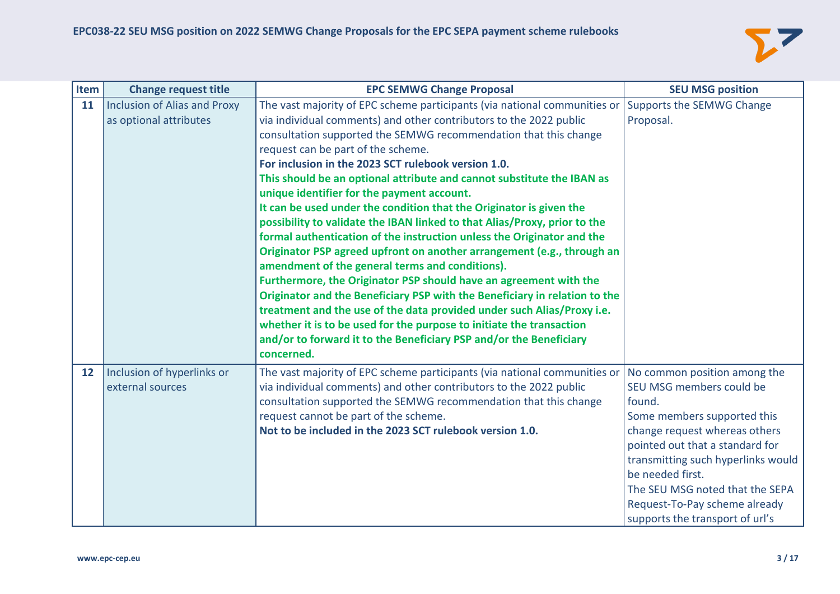

| Item              | <b>Change request title</b>                            | <b>EPC SEMWG Change Proposal</b>                                                                                                                                                                                                                                                                                                                                                                                                                                                                                                                                                                                                                                                                                                                                                                                                                                                                                                                                                                                                                                                                                                                                                             | <b>SEU MSG position</b>                                                                                                                                                                                                                                                                                                                |
|-------------------|--------------------------------------------------------|----------------------------------------------------------------------------------------------------------------------------------------------------------------------------------------------------------------------------------------------------------------------------------------------------------------------------------------------------------------------------------------------------------------------------------------------------------------------------------------------------------------------------------------------------------------------------------------------------------------------------------------------------------------------------------------------------------------------------------------------------------------------------------------------------------------------------------------------------------------------------------------------------------------------------------------------------------------------------------------------------------------------------------------------------------------------------------------------------------------------------------------------------------------------------------------------|----------------------------------------------------------------------------------------------------------------------------------------------------------------------------------------------------------------------------------------------------------------------------------------------------------------------------------------|
| 11                | Inclusion of Alias and Proxy<br>as optional attributes | The vast majority of EPC scheme participants (via national communities or<br>via individual comments) and other contributors to the 2022 public<br>consultation supported the SEMWG recommendation that this change<br>request can be part of the scheme.<br>For inclusion in the 2023 SCT rulebook version 1.0.<br>This should be an optional attribute and cannot substitute the IBAN as<br>unique identifier for the payment account.<br>It can be used under the condition that the Originator is given the<br>possibility to validate the IBAN linked to that Alias/Proxy, prior to the<br>formal authentication of the instruction unless the Originator and the<br>Originator PSP agreed upfront on another arrangement (e.g., through an<br>amendment of the general terms and conditions).<br>Furthermore, the Originator PSP should have an agreement with the<br>Originator and the Beneficiary PSP with the Beneficiary in relation to the<br>treatment and the use of the data provided under such Alias/Proxy i.e.<br>whether it is to be used for the purpose to initiate the transaction<br>and/or to forward it to the Beneficiary PSP and/or the Beneficiary<br>concerned. | Supports the SEMWG Change<br>Proposal.                                                                                                                                                                                                                                                                                                 |
| $12 \overline{ }$ | Inclusion of hyperlinks or<br>external sources         | The vast majority of EPC scheme participants (via national communities or<br>via individual comments) and other contributors to the 2022 public<br>consultation supported the SEMWG recommendation that this change<br>request cannot be part of the scheme.<br>Not to be included in the 2023 SCT rulebook version 1.0.                                                                                                                                                                                                                                                                                                                                                                                                                                                                                                                                                                                                                                                                                                                                                                                                                                                                     | No common position among the<br>SEU MSG members could be<br>found.<br>Some members supported this<br>change request whereas others<br>pointed out that a standard for<br>transmitting such hyperlinks would<br>be needed first.<br>The SEU MSG noted that the SEPA<br>Request-To-Pay scheme already<br>supports the transport of url's |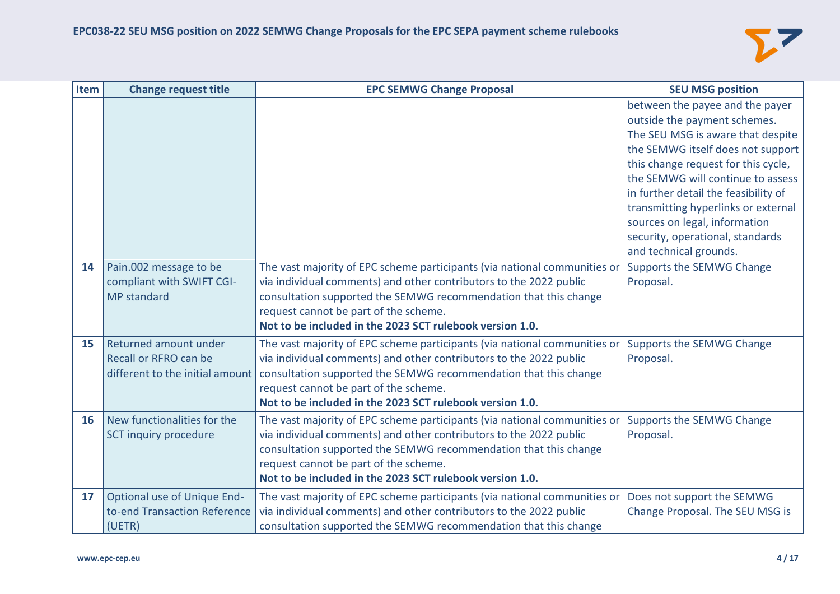

| Item | <b>Change request title</b>                                                       | <b>EPC SEMWG Change Proposal</b>                                                                                                                                                                                                                                                                                         | <b>SEU MSG position</b>                                                                                                                                                                                                                                                                                                                                                                             |
|------|-----------------------------------------------------------------------------------|--------------------------------------------------------------------------------------------------------------------------------------------------------------------------------------------------------------------------------------------------------------------------------------------------------------------------|-----------------------------------------------------------------------------------------------------------------------------------------------------------------------------------------------------------------------------------------------------------------------------------------------------------------------------------------------------------------------------------------------------|
|      |                                                                                   |                                                                                                                                                                                                                                                                                                                          | between the payee and the payer<br>outside the payment schemes.<br>The SEU MSG is aware that despite<br>the SEMWG itself does not support<br>this change request for this cycle,<br>the SEMWG will continue to assess<br>in further detail the feasibility of<br>transmitting hyperlinks or external<br>sources on legal, information<br>security, operational, standards<br>and technical grounds. |
| 14   | Pain.002 message to be<br>compliant with SWIFT CGI-<br>MP standard                | The vast majority of EPC scheme participants (via national communities or<br>via individual comments) and other contributors to the 2022 public<br>consultation supported the SEMWG recommendation that this change<br>request cannot be part of the scheme.<br>Not to be included in the 2023 SCT rulebook version 1.0. | Supports the SEMWG Change<br>Proposal.                                                                                                                                                                                                                                                                                                                                                              |
| 15   | Returned amount under<br>Recall or RFRO can be<br>different to the initial amount | The vast majority of EPC scheme participants (via national communities or<br>via individual comments) and other contributors to the 2022 public<br>consultation supported the SEMWG recommendation that this change<br>request cannot be part of the scheme.<br>Not to be included in the 2023 SCT rulebook version 1.0. | Supports the SEMWG Change<br>Proposal.                                                                                                                                                                                                                                                                                                                                                              |
| 16   | New functionalities for the<br>SCT inquiry procedure                              | The vast majority of EPC scheme participants (via national communities or<br>via individual comments) and other contributors to the 2022 public<br>consultation supported the SEMWG recommendation that this change<br>request cannot be part of the scheme.<br>Not to be included in the 2023 SCT rulebook version 1.0. | Supports the SEMWG Change<br>Proposal.                                                                                                                                                                                                                                                                                                                                                              |
| 17   | <b>Optional use of Unique End-</b><br>to-end Transaction Reference<br>(UETR)      | The vast majority of EPC scheme participants (via national communities or<br>via individual comments) and other contributors to the 2022 public<br>consultation supported the SEMWG recommendation that this change                                                                                                      | Does not support the SEMWG<br>Change Proposal. The SEU MSG is                                                                                                                                                                                                                                                                                                                                       |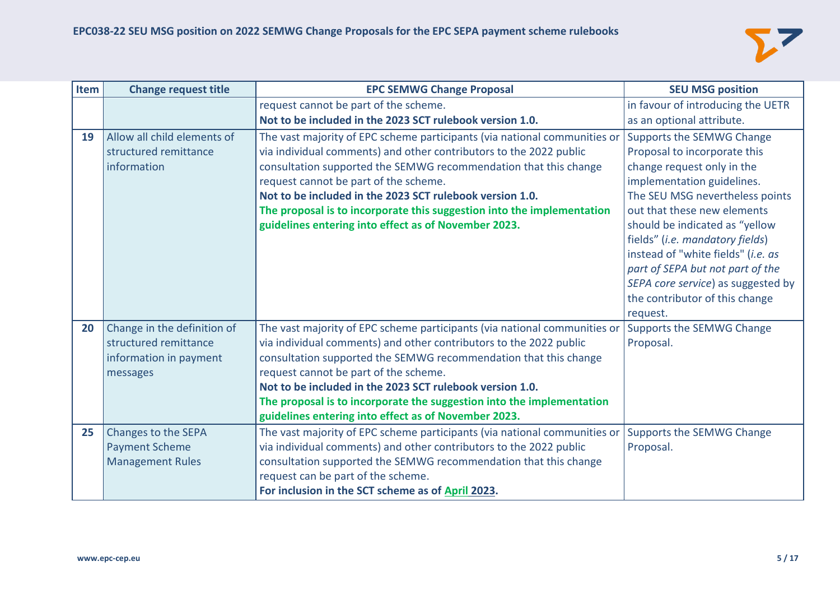

| <b>Item</b> | <b>Change request title</b> | <b>EPC SEMWG Change Proposal</b>                                          | <b>SEU MSG position</b>            |
|-------------|-----------------------------|---------------------------------------------------------------------------|------------------------------------|
|             |                             | request cannot be part of the scheme.                                     | in favour of introducing the UETR  |
|             |                             | Not to be included in the 2023 SCT rulebook version 1.0.                  | as an optional attribute.          |
| 19          | Allow all child elements of | The vast majority of EPC scheme participants (via national communities or | Supports the SEMWG Change          |
|             | structured remittance       | via individual comments) and other contributors to the 2022 public        | Proposal to incorporate this       |
|             | information                 | consultation supported the SEMWG recommendation that this change          | change request only in the         |
|             |                             | request cannot be part of the scheme.                                     | implementation guidelines.         |
|             |                             | Not to be included in the 2023 SCT rulebook version 1.0.                  | The SEU MSG nevertheless points    |
|             |                             | The proposal is to incorporate this suggestion into the implementation    | out that these new elements        |
|             |                             | guidelines entering into effect as of November 2023.                      | should be indicated as "yellow     |
|             |                             |                                                                           | fields" (i.e. mandatory fields)    |
|             |                             |                                                                           | instead of "white fields" (i.e. as |
|             |                             |                                                                           | part of SEPA but not part of the   |
|             |                             |                                                                           | SEPA core service) as suggested by |
|             |                             |                                                                           | the contributor of this change     |
|             |                             |                                                                           | request.                           |
| 20          | Change in the definition of | The vast majority of EPC scheme participants (via national communities or | Supports the SEMWG Change          |
|             | structured remittance       | via individual comments) and other contributors to the 2022 public        | Proposal.                          |
|             | information in payment      | consultation supported the SEMWG recommendation that this change          |                                    |
|             | messages                    | request cannot be part of the scheme.                                     |                                    |
|             |                             | Not to be included in the 2023 SCT rulebook version 1.0.                  |                                    |
|             |                             | The proposal is to incorporate the suggestion into the implementation     |                                    |
|             |                             | guidelines entering into effect as of November 2023.                      |                                    |
| 25          | Changes to the SEPA         | The vast majority of EPC scheme participants (via national communities or | Supports the SEMWG Change          |
|             | <b>Payment Scheme</b>       | via individual comments) and other contributors to the 2022 public        | Proposal.                          |
|             | <b>Management Rules</b>     | consultation supported the SEMWG recommendation that this change          |                                    |
|             |                             | request can be part of the scheme.                                        |                                    |
|             |                             | For inclusion in the SCT scheme as of April 2023.                         |                                    |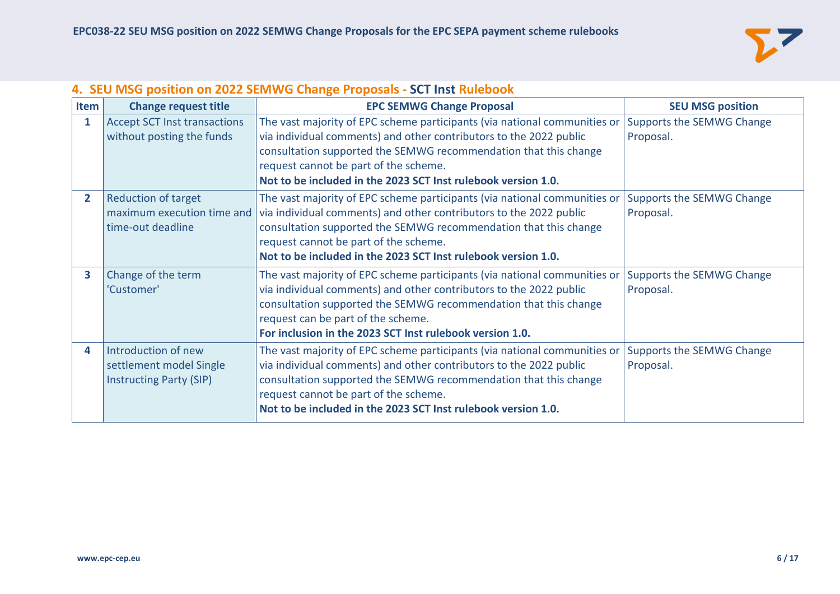

# **4. SEU MSG position on 2022 SEMWG Change Proposals - SCT Inst Rulebook**

| Item           | <b>Change request title</b>                                                      | <b>EPC SEMWG Change Proposal</b>                                                                                                                                                                                                                                                                                              | <b>SEU MSG position</b>                |
|----------------|----------------------------------------------------------------------------------|-------------------------------------------------------------------------------------------------------------------------------------------------------------------------------------------------------------------------------------------------------------------------------------------------------------------------------|----------------------------------------|
| 1              | <b>Accept SCT Inst transactions</b><br>without posting the funds                 | The vast majority of EPC scheme participants (via national communities or<br>via individual comments) and other contributors to the 2022 public<br>consultation supported the SEMWG recommendation that this change<br>request cannot be part of the scheme.<br>Not to be included in the 2023 SCT Inst rulebook version 1.0. | Supports the SEMWG Change<br>Proposal. |
| $\overline{2}$ | <b>Reduction of target</b><br>maximum execution time and<br>time-out deadline    | The vast majority of EPC scheme participants (via national communities or<br>via individual comments) and other contributors to the 2022 public<br>consultation supported the SEMWG recommendation that this change<br>request cannot be part of the scheme.<br>Not to be included in the 2023 SCT Inst rulebook version 1.0. | Supports the SEMWG Change<br>Proposal. |
| 3              | Change of the term<br>'Customer'                                                 | The vast majority of EPC scheme participants (via national communities or<br>via individual comments) and other contributors to the 2022 public<br>consultation supported the SEMWG recommendation that this change<br>request can be part of the scheme.<br>For inclusion in the 2023 SCT Inst rulebook version 1.0.         | Supports the SEMWG Change<br>Proposal. |
| 4              | Introduction of new<br>settlement model Single<br><b>Instructing Party (SIP)</b> | The vast majority of EPC scheme participants (via national communities or<br>via individual comments) and other contributors to the 2022 public<br>consultation supported the SEMWG recommendation that this change<br>request cannot be part of the scheme.<br>Not to be included in the 2023 SCT Inst rulebook version 1.0. | Supports the SEMWG Change<br>Proposal. |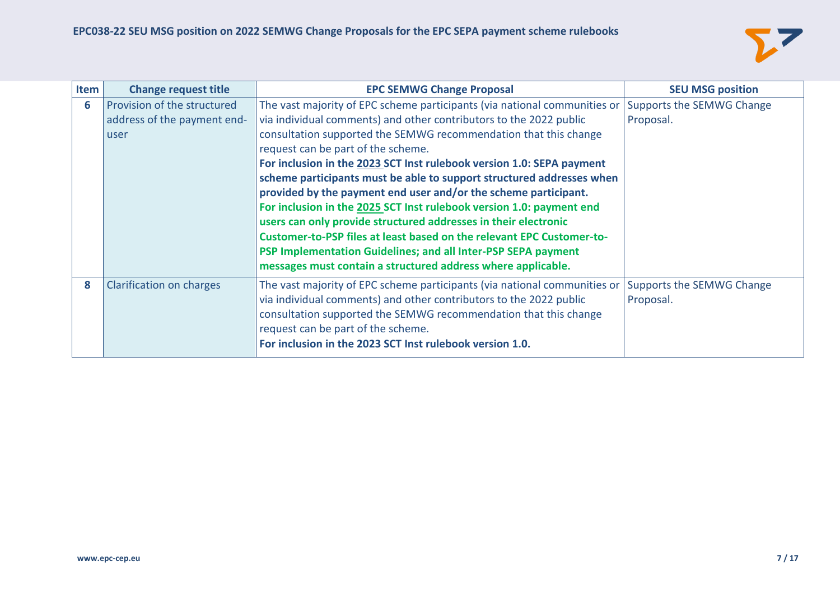

| Item | <b>Change request title</b>                                        | <b>EPC SEMWG Change Proposal</b>                                                                                                                                                                                                                                                                                                                                                                                                                                                                                                                                                                                                                                                                                                                                                                                                    | <b>SEU MSG position</b>                |
|------|--------------------------------------------------------------------|-------------------------------------------------------------------------------------------------------------------------------------------------------------------------------------------------------------------------------------------------------------------------------------------------------------------------------------------------------------------------------------------------------------------------------------------------------------------------------------------------------------------------------------------------------------------------------------------------------------------------------------------------------------------------------------------------------------------------------------------------------------------------------------------------------------------------------------|----------------------------------------|
| 6    | Provision of the structured<br>address of the payment end-<br>user | The vast majority of EPC scheme participants (via national communities or<br>via individual comments) and other contributors to the 2022 public<br>consultation supported the SEMWG recommendation that this change<br>request can be part of the scheme.<br>For inclusion in the 2023 SCT Inst rulebook version 1.0: SEPA payment<br>scheme participants must be able to support structured addresses when<br>provided by the payment end user and/or the scheme participant.<br>For inclusion in the 2025 SCT Inst rulebook version 1.0: payment end<br>users can only provide structured addresses in their electronic<br>Customer-to-PSP files at least based on the relevant EPC Customer-to-<br>PSP Implementation Guidelines; and all Inter-PSP SEPA payment<br>messages must contain a structured address where applicable. | Supports the SEMWG Change<br>Proposal. |
| 8    | Clarification on charges                                           | The vast majority of EPC scheme participants (via national communities or<br>via individual comments) and other contributors to the 2022 public<br>consultation supported the SEMWG recommendation that this change<br>request can be part of the scheme.<br>For inclusion in the 2023 SCT Inst rulebook version 1.0.                                                                                                                                                                                                                                                                                                                                                                                                                                                                                                               | Supports the SEMWG Change<br>Proposal. |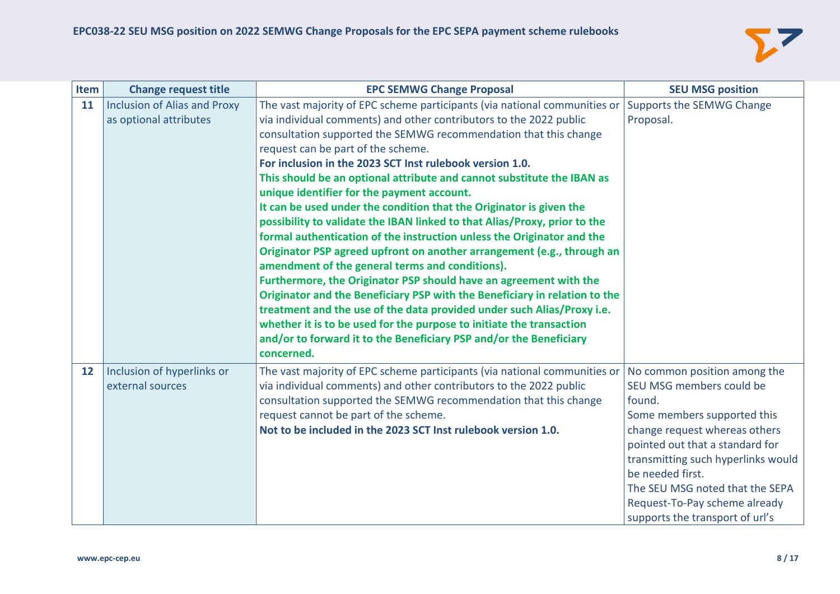

| Item | <b>Change request title</b>  | <b>EPC SEMWG Change Proposal</b>                                           | <b>SEU MSG position</b>            |
|------|------------------------------|----------------------------------------------------------------------------|------------------------------------|
| 11   | Inclusion of Alias and Proxy | The vast majority of EPC scheme participants (via national communities or  | Supports the SEMWG Change          |
|      | as optional attributes       | via individual comments) and other contributors to the 2022 public         | Proposal.                          |
|      |                              | consultation supported the SEMWG recommendation that this change           |                                    |
|      |                              | request can be part of the scheme.                                         |                                    |
|      |                              | For inclusion in the 2023 SCT Inst rulebook version 1.0.                   |                                    |
|      |                              | This should be an optional attribute and cannot substitute the IBAN as     |                                    |
|      |                              | unique identifier for the payment account.                                 |                                    |
|      |                              | It can be used under the condition that the Originator is given the        |                                    |
|      |                              | possibility to validate the IBAN linked to that Alias/Proxy, prior to the  |                                    |
|      |                              | formal authentication of the instruction unless the Originator and the     |                                    |
|      |                              | Originator PSP agreed upfront on another arrangement (e.g., through an     |                                    |
|      |                              | amendment of the general terms and conditions).                            |                                    |
|      |                              | Furthermore, the Originator PSP should have an agreement with the          |                                    |
|      |                              | Originator and the Beneficiary PSP with the Beneficiary in relation to the |                                    |
|      |                              | treatment and the use of the data provided under such Alias/Proxy i.e.     |                                    |
|      |                              | whether it is to be used for the purpose to initiate the transaction       |                                    |
|      |                              | and/or to forward it to the Beneficiary PSP and/or the Beneficiary         |                                    |
|      |                              | concerned.                                                                 |                                    |
| 12   | Inclusion of hyperlinks or   | The vast majority of EPC scheme participants (via national communities or  | No common position among the       |
|      | external sources             | via individual comments) and other contributors to the 2022 public         | SEU MSG members could be           |
|      |                              | consultation supported the SEMWG recommendation that this change           | found.                             |
|      |                              | request cannot be part of the scheme.                                      | Some members supported this        |
|      |                              | Not to be included in the 2023 SCT Inst rulebook version 1.0.              | change request whereas others      |
|      |                              |                                                                            | pointed out that a standard for    |
|      |                              |                                                                            | transmitting such hyperlinks would |
|      |                              |                                                                            | be needed first.                   |
|      |                              |                                                                            | The SEU MSG noted that the SEPA    |
|      |                              |                                                                            | Request-To-Pay scheme already      |
|      |                              |                                                                            | supports the transport of url's    |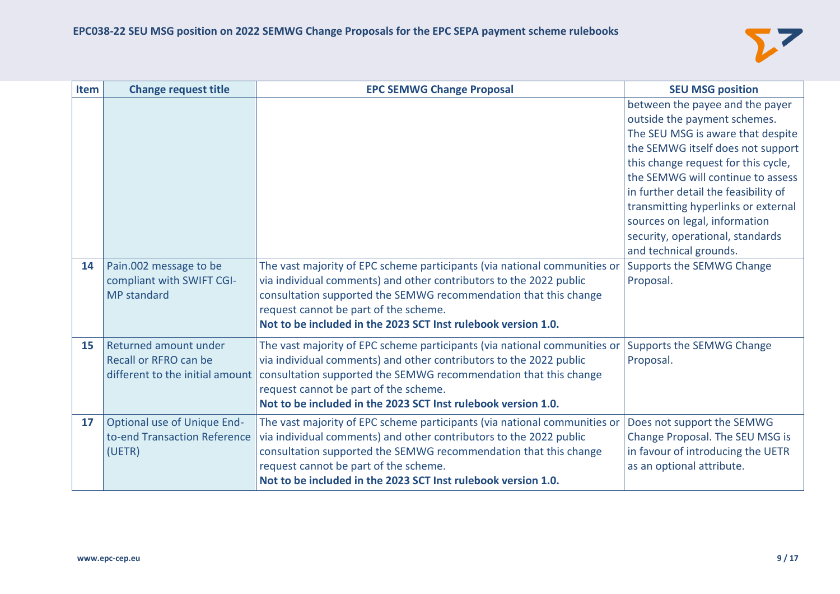

| Item | <b>Change request title</b>                                                       | <b>EPC SEMWG Change Proposal</b>                                                                                                                                                                                                                                                                                              | <b>SEU MSG position</b>                                                                                                                                                                                                                                       |
|------|-----------------------------------------------------------------------------------|-------------------------------------------------------------------------------------------------------------------------------------------------------------------------------------------------------------------------------------------------------------------------------------------------------------------------------|---------------------------------------------------------------------------------------------------------------------------------------------------------------------------------------------------------------------------------------------------------------|
|      |                                                                                   |                                                                                                                                                                                                                                                                                                                               | between the payee and the payer<br>outside the payment schemes.<br>The SEU MSG is aware that despite<br>the SEMWG itself does not support<br>this change request for this cycle,<br>the SEMWG will continue to assess<br>in further detail the feasibility of |
|      |                                                                                   |                                                                                                                                                                                                                                                                                                                               | transmitting hyperlinks or external<br>sources on legal, information<br>security, operational, standards<br>and technical grounds.                                                                                                                            |
| 14   | Pain.002 message to be<br>compliant with SWIFT CGI-<br><b>MP</b> standard         | The vast majority of EPC scheme participants (via national communities or<br>via individual comments) and other contributors to the 2022 public<br>consultation supported the SEMWG recommendation that this change<br>request cannot be part of the scheme.<br>Not to be included in the 2023 SCT Inst rulebook version 1.0. | Supports the SEMWG Change<br>Proposal.                                                                                                                                                                                                                        |
| 15   | Returned amount under<br>Recall or RFRO can be<br>different to the initial amount | The vast majority of EPC scheme participants (via national communities or<br>via individual comments) and other contributors to the 2022 public<br>consultation supported the SEMWG recommendation that this change<br>request cannot be part of the scheme.<br>Not to be included in the 2023 SCT Inst rulebook version 1.0. | Supports the SEMWG Change<br>Proposal.                                                                                                                                                                                                                        |
| 17   | Optional use of Unique End-<br>to-end Transaction Reference<br>(UETR)             | The vast majority of EPC scheme participants (via national communities or<br>via individual comments) and other contributors to the 2022 public<br>consultation supported the SEMWG recommendation that this change<br>request cannot be part of the scheme.<br>Not to be included in the 2023 SCT Inst rulebook version 1.0. | Does not support the SEMWG<br>Change Proposal. The SEU MSG is<br>in favour of introducing the UETR<br>as an optional attribute.                                                                                                                               |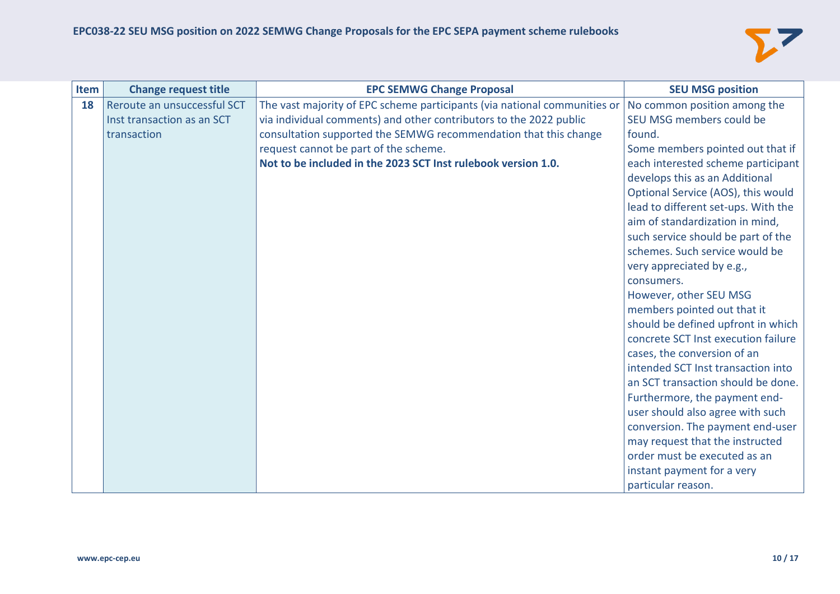

| Item | <b>Change request title</b> | <b>EPC SEMWG Change Proposal</b>                                          | <b>SEU MSG position</b>             |
|------|-----------------------------|---------------------------------------------------------------------------|-------------------------------------|
| 18   | Reroute an unsuccessful SCT | The vast majority of EPC scheme participants (via national communities or | No common position among the        |
|      | Inst transaction as an SCT  | via individual comments) and other contributors to the 2022 public        | SEU MSG members could be            |
|      | transaction                 | consultation supported the SEMWG recommendation that this change          | found.                              |
|      |                             | request cannot be part of the scheme.                                     | Some members pointed out that if    |
|      |                             | Not to be included in the 2023 SCT Inst rulebook version 1.0.             | each interested scheme participant  |
|      |                             |                                                                           | develops this as an Additional      |
|      |                             |                                                                           | Optional Service (AOS), this would  |
|      |                             |                                                                           | lead to different set-ups. With the |
|      |                             |                                                                           | aim of standardization in mind,     |
|      |                             |                                                                           | such service should be part of the  |
|      |                             |                                                                           | schemes. Such service would be      |
|      |                             |                                                                           | very appreciated by e.g.,           |
|      |                             |                                                                           | consumers.                          |
|      |                             |                                                                           | However, other SEU MSG              |
|      |                             |                                                                           | members pointed out that it         |
|      |                             |                                                                           | should be defined upfront in which  |
|      |                             |                                                                           | concrete SCT Inst execution failure |
|      |                             |                                                                           | cases, the conversion of an         |
|      |                             |                                                                           | intended SCT Inst transaction into  |
|      |                             |                                                                           | an SCT transaction should be done.  |
|      |                             |                                                                           | Furthermore, the payment end-       |
|      |                             |                                                                           | user should also agree with such    |
|      |                             |                                                                           | conversion. The payment end-user    |
|      |                             |                                                                           | may request that the instructed     |
|      |                             |                                                                           | order must be executed as an        |
|      |                             |                                                                           | instant payment for a very          |
|      |                             |                                                                           | particular reason.                  |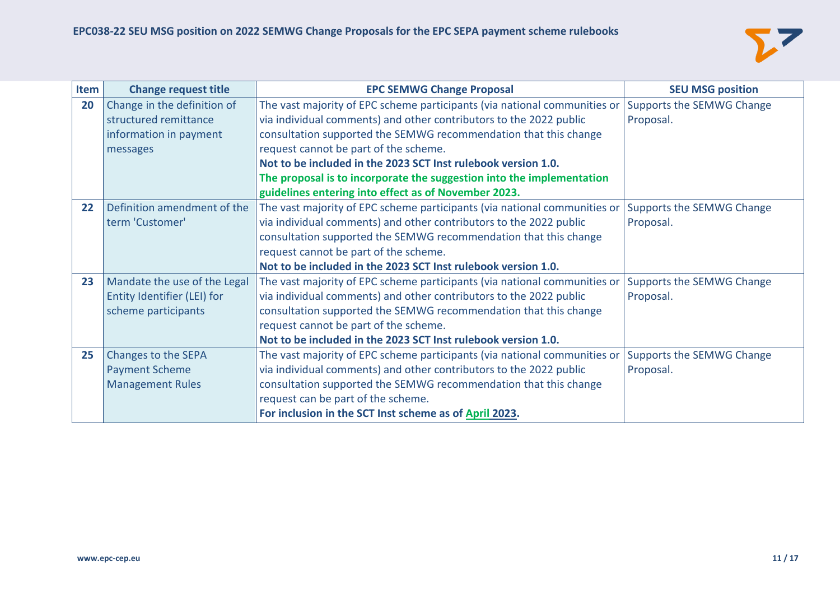

| Item | <b>Change request title</b>  | <b>EPC SEMWG Change Proposal</b>                                          | <b>SEU MSG position</b>   |
|------|------------------------------|---------------------------------------------------------------------------|---------------------------|
| 20   | Change in the definition of  | The vast majority of EPC scheme participants (via national communities or | Supports the SEMWG Change |
|      | structured remittance        | via individual comments) and other contributors to the 2022 public        | Proposal.                 |
|      | information in payment       | consultation supported the SEMWG recommendation that this change          |                           |
|      | messages                     | request cannot be part of the scheme.                                     |                           |
|      |                              | Not to be included in the 2023 SCT Inst rulebook version 1.0.             |                           |
|      |                              | The proposal is to incorporate the suggestion into the implementation     |                           |
|      |                              | guidelines entering into effect as of November 2023.                      |                           |
| 22   | Definition amendment of the  | The vast majority of EPC scheme participants (via national communities or | Supports the SEMWG Change |
|      | term 'Customer'              | via individual comments) and other contributors to the 2022 public        | Proposal.                 |
|      |                              | consultation supported the SEMWG recommendation that this change          |                           |
|      |                              | request cannot be part of the scheme.                                     |                           |
|      |                              | Not to be included in the 2023 SCT Inst rulebook version 1.0.             |                           |
| 23   | Mandate the use of the Legal | The vast majority of EPC scheme participants (via national communities or | Supports the SEMWG Change |
|      | Entity Identifier (LEI) for  | via individual comments) and other contributors to the 2022 public        | Proposal.                 |
|      | scheme participants          | consultation supported the SEMWG recommendation that this change          |                           |
|      |                              | request cannot be part of the scheme.                                     |                           |
|      |                              | Not to be included in the 2023 SCT Inst rulebook version 1.0.             |                           |
| 25   | Changes to the SEPA          | The vast majority of EPC scheme participants (via national communities or | Supports the SEMWG Change |
|      | <b>Payment Scheme</b>        | via individual comments) and other contributors to the 2022 public        | Proposal.                 |
|      | <b>Management Rules</b>      | consultation supported the SEMWG recommendation that this change          |                           |
|      |                              | request can be part of the scheme.                                        |                           |
|      |                              | For inclusion in the SCT Inst scheme as of April 2023.                    |                           |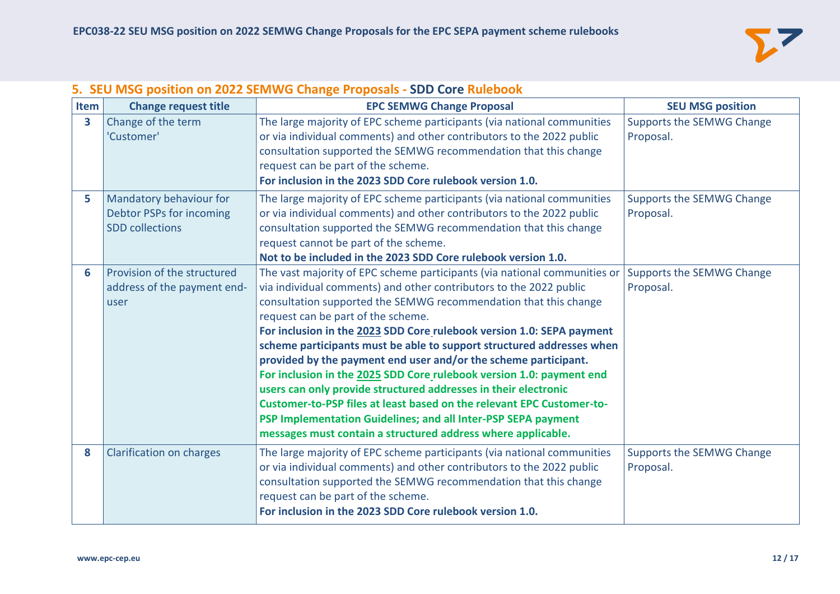

# **5. SEU MSG position on 2022 SEMWG Change Proposals - SDD Core Rulebook**

| Item | <b>Change request title</b>     | <b>EPC SEMWG Change Proposal</b>                                                                                                       | <b>SEU MSG position</b>                |
|------|---------------------------------|----------------------------------------------------------------------------------------------------------------------------------------|----------------------------------------|
| 3    | Change of the term              | The large majority of EPC scheme participants (via national communities                                                                | Supports the SEMWG Change              |
|      | 'Customer'                      | or via individual comments) and other contributors to the 2022 public                                                                  | Proposal.                              |
|      |                                 | consultation supported the SEMWG recommendation that this change                                                                       |                                        |
|      |                                 | request can be part of the scheme.<br>For inclusion in the 2023 SDD Core rulebook version 1.0.                                         |                                        |
|      |                                 |                                                                                                                                        |                                        |
| 5    | Mandatory behaviour for         | The large majority of EPC scheme participants (via national communities                                                                | Supports the SEMWG Change              |
|      | Debtor PSPs for incoming        | or via individual comments) and other contributors to the 2022 public                                                                  | Proposal.                              |
|      | <b>SDD</b> collections          | consultation supported the SEMWG recommendation that this change                                                                       |                                        |
|      |                                 | request cannot be part of the scheme.                                                                                                  |                                        |
|      | Provision of the structured     | Not to be included in the 2023 SDD Core rulebook version 1.0.                                                                          |                                        |
| 6    | address of the payment end-     | The vast majority of EPC scheme participants (via national communities or                                                              | Supports the SEMWG Change<br>Proposal. |
|      |                                 | via individual comments) and other contributors to the 2022 public<br>consultation supported the SEMWG recommendation that this change |                                        |
|      | user                            | request can be part of the scheme.                                                                                                     |                                        |
|      |                                 | For inclusion in the 2023 SDD Core rulebook version 1.0: SEPA payment                                                                  |                                        |
|      |                                 | scheme participants must be able to support structured addresses when                                                                  |                                        |
|      |                                 | provided by the payment end user and/or the scheme participant.                                                                        |                                        |
|      |                                 | For inclusion in the 2025 SDD Core rulebook version 1.0: payment end                                                                   |                                        |
|      |                                 | users can only provide structured addresses in their electronic                                                                        |                                        |
|      |                                 | Customer-to-PSP files at least based on the relevant EPC Customer-to-                                                                  |                                        |
|      |                                 | PSP Implementation Guidelines; and all Inter-PSP SEPA payment                                                                          |                                        |
|      |                                 | messages must contain a structured address where applicable.                                                                           |                                        |
| 8    | <b>Clarification on charges</b> | The large majority of EPC scheme participants (via national communities                                                                | Supports the SEMWG Change              |
|      |                                 | or via individual comments) and other contributors to the 2022 public                                                                  | Proposal.                              |
|      |                                 | consultation supported the SEMWG recommendation that this change                                                                       |                                        |
|      |                                 | request can be part of the scheme.                                                                                                     |                                        |
|      |                                 | For inclusion in the 2023 SDD Core rulebook version 1.0.                                                                               |                                        |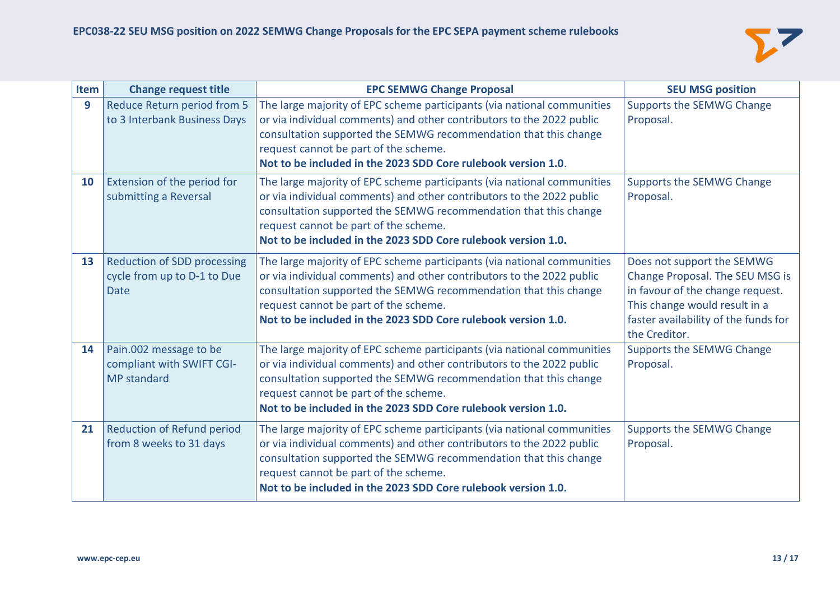

| Item | <b>Change request title</b>                                                      | <b>EPC SEMWG Change Proposal</b>                                                                                                                                                                                                                                                                                               | <b>SEU MSG position</b>                                                                                                                                                                     |
|------|----------------------------------------------------------------------------------|--------------------------------------------------------------------------------------------------------------------------------------------------------------------------------------------------------------------------------------------------------------------------------------------------------------------------------|---------------------------------------------------------------------------------------------------------------------------------------------------------------------------------------------|
| 9    | Reduce Return period from 5<br>to 3 Interbank Business Days                      | The large majority of EPC scheme participants (via national communities<br>or via individual comments) and other contributors to the 2022 public<br>consultation supported the SEMWG recommendation that this change<br>request cannot be part of the scheme.<br>Not to be included in the 2023 SDD Core rulebook version 1.0. | Supports the SEMWG Change<br>Proposal.                                                                                                                                                      |
| 10   | Extension of the period for<br>submitting a Reversal                             | The large majority of EPC scheme participants (via national communities<br>or via individual comments) and other contributors to the 2022 public<br>consultation supported the SEMWG recommendation that this change<br>request cannot be part of the scheme.<br>Not to be included in the 2023 SDD Core rulebook version 1.0. | Supports the SEMWG Change<br>Proposal.                                                                                                                                                      |
| 13   | <b>Reduction of SDD processing</b><br>cycle from up to D-1 to Due<br><b>Date</b> | The large majority of EPC scheme participants (via national communities<br>or via individual comments) and other contributors to the 2022 public<br>consultation supported the SEMWG recommendation that this change<br>request cannot be part of the scheme.<br>Not to be included in the 2023 SDD Core rulebook version 1.0. | Does not support the SEMWG<br>Change Proposal. The SEU MSG is<br>in favour of the change request.<br>This change would result in a<br>faster availability of the funds for<br>the Creditor. |
| 14   | Pain.002 message to be<br>compliant with SWIFT CGI-<br><b>MP</b> standard        | The large majority of EPC scheme participants (via national communities<br>or via individual comments) and other contributors to the 2022 public<br>consultation supported the SEMWG recommendation that this change<br>request cannot be part of the scheme.<br>Not to be included in the 2023 SDD Core rulebook version 1.0. | Supports the SEMWG Change<br>Proposal.                                                                                                                                                      |
| 21   | <b>Reduction of Refund period</b><br>from 8 weeks to 31 days                     | The large majority of EPC scheme participants (via national communities<br>or via individual comments) and other contributors to the 2022 public<br>consultation supported the SEMWG recommendation that this change<br>request cannot be part of the scheme.<br>Not to be included in the 2023 SDD Core rulebook version 1.0. | Supports the SEMWG Change<br>Proposal.                                                                                                                                                      |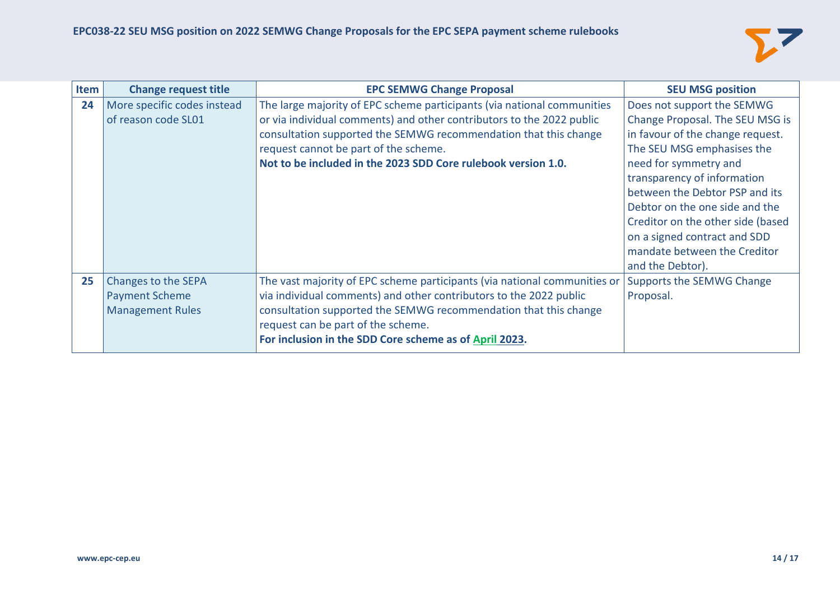

| Item | <b>Change request title</b> | <b>EPC SEMWG Change Proposal</b>                                          | <b>SEU MSG position</b>           |
|------|-----------------------------|---------------------------------------------------------------------------|-----------------------------------|
| 24   | More specific codes instead | The large majority of EPC scheme participants (via national communities   | Does not support the SEMWG        |
|      | of reason code SL01         | or via individual comments) and other contributors to the 2022 public     | Change Proposal. The SEU MSG is   |
|      |                             | consultation supported the SEMWG recommendation that this change          | in favour of the change request.  |
|      |                             | request cannot be part of the scheme.                                     | The SEU MSG emphasises the        |
|      |                             | Not to be included in the 2023 SDD Core rulebook version 1.0.             | need for symmetry and             |
|      |                             |                                                                           | transparency of information       |
|      |                             |                                                                           | between the Debtor PSP and its    |
|      |                             |                                                                           | Debtor on the one side and the    |
|      |                             |                                                                           | Creditor on the other side (based |
|      |                             |                                                                           | on a signed contract and SDD      |
|      |                             |                                                                           | mandate between the Creditor      |
|      |                             |                                                                           | and the Debtor).                  |
| 25   | Changes to the SEPA         | The vast majority of EPC scheme participants (via national communities or | Supports the SEMWG Change         |
|      | <b>Payment Scheme</b>       | via individual comments) and other contributors to the 2022 public        | Proposal.                         |
|      | <b>Management Rules</b>     | consultation supported the SEMWG recommendation that this change          |                                   |
|      |                             | request can be part of the scheme.                                        |                                   |
|      |                             | For inclusion in the SDD Core scheme as of April 2023.                    |                                   |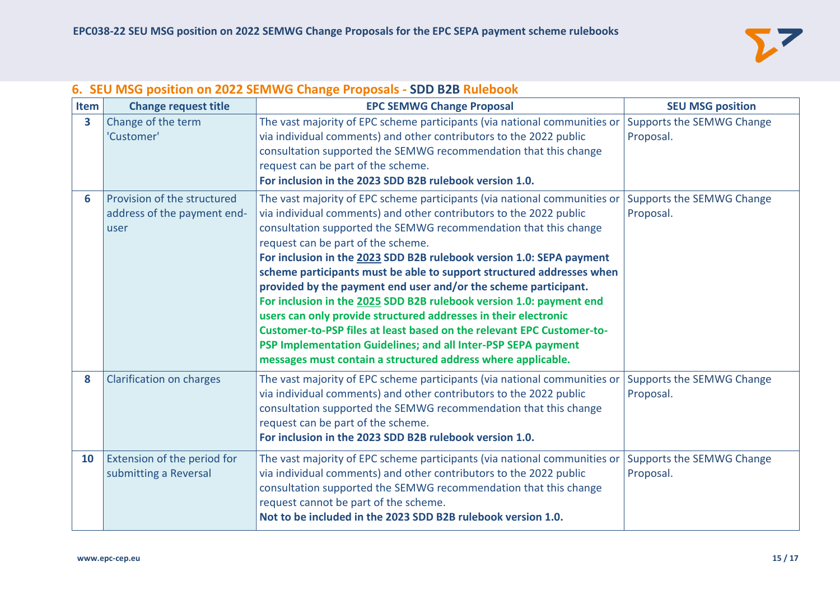

| Item | <b>Change request title</b>                                        | <b>EPC SEMWG Change Proposal</b>                                                                                                                                                                                                                                                                                                                                                                                                                                                                                                                                                                                                                                                                                                                                                                                                  | <b>SEU MSG position</b>                |
|------|--------------------------------------------------------------------|-----------------------------------------------------------------------------------------------------------------------------------------------------------------------------------------------------------------------------------------------------------------------------------------------------------------------------------------------------------------------------------------------------------------------------------------------------------------------------------------------------------------------------------------------------------------------------------------------------------------------------------------------------------------------------------------------------------------------------------------------------------------------------------------------------------------------------------|----------------------------------------|
| 3    | Change of the term<br>'Customer'                                   | The vast majority of EPC scheme participants (via national communities or Supports the SEMWG Change<br>via individual comments) and other contributors to the 2022 public<br>consultation supported the SEMWG recommendation that this change<br>request can be part of the scheme.<br>For inclusion in the 2023 SDD B2B rulebook version 1.0.                                                                                                                                                                                                                                                                                                                                                                                                                                                                                    | Proposal.                              |
| 6    | Provision of the structured<br>address of the payment end-<br>user | The vast majority of EPC scheme participants (via national communities or<br>via individual comments) and other contributors to the 2022 public<br>consultation supported the SEMWG recommendation that this change<br>request can be part of the scheme.<br>For inclusion in the 2023 SDD B2B rulebook version 1.0: SEPA payment<br>scheme participants must be able to support structured addresses when<br>provided by the payment end user and/or the scheme participant.<br>For inclusion in the 2025 SDD B2B rulebook version 1.0: payment end<br>users can only provide structured addresses in their electronic<br>Customer-to-PSP files at least based on the relevant EPC Customer-to-<br>PSP Implementation Guidelines; and all Inter-PSP SEPA payment<br>messages must contain a structured address where applicable. | Supports the SEMWG Change<br>Proposal. |
| 8    | <b>Clarification on charges</b>                                    | The vast majority of EPC scheme participants (via national communities or<br>via individual comments) and other contributors to the 2022 public<br>consultation supported the SEMWG recommendation that this change<br>request can be part of the scheme.<br>For inclusion in the 2023 SDD B2B rulebook version 1.0.                                                                                                                                                                                                                                                                                                                                                                                                                                                                                                              | Supports the SEMWG Change<br>Proposal. |
| 10   | Extension of the period for<br>submitting a Reversal               | The vast majority of EPC scheme participants (via national communities or<br>via individual comments) and other contributors to the 2022 public<br>consultation supported the SEMWG recommendation that this change<br>request cannot be part of the scheme.<br>Not to be included in the 2023 SDD B2B rulebook version 1.0.                                                                                                                                                                                                                                                                                                                                                                                                                                                                                                      | Supports the SEMWG Change<br>Proposal. |

### **6. SEU MSG position on 2022 SEMWG Change Proposals - SDD B2B Rulebook**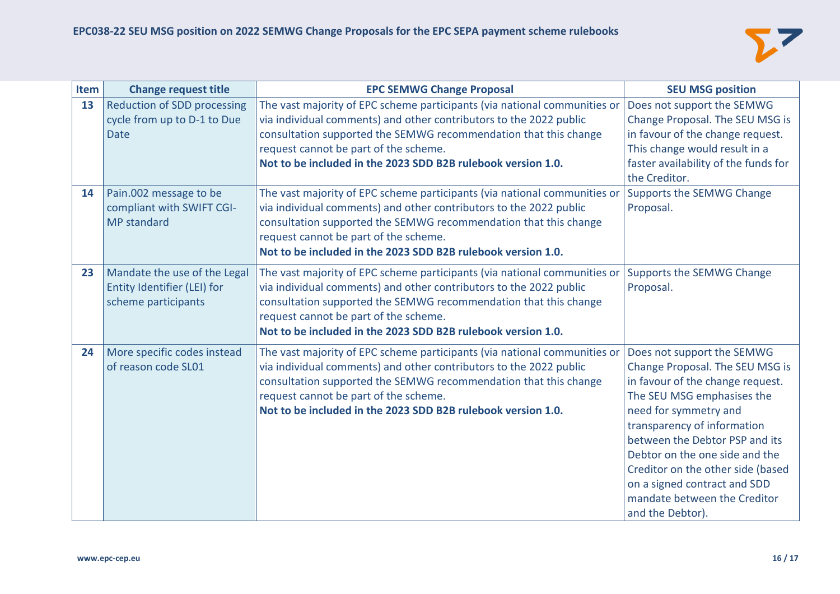

| Item | <b>Change request title</b>        | <b>EPC SEMWG Change Proposal</b>                                          | <b>SEU MSG position</b>              |
|------|------------------------------------|---------------------------------------------------------------------------|--------------------------------------|
| 13   | <b>Reduction of SDD processing</b> | The vast majority of EPC scheme participants (via national communities or | Does not support the SEMWG           |
|      | cycle from up to D-1 to Due        | via individual comments) and other contributors to the 2022 public        | Change Proposal. The SEU MSG is      |
|      | <b>Date</b>                        | consultation supported the SEMWG recommendation that this change          | in favour of the change request.     |
|      |                                    | request cannot be part of the scheme.                                     | This change would result in a        |
|      |                                    | Not to be included in the 2023 SDD B2B rulebook version 1.0.              | faster availability of the funds for |
|      |                                    |                                                                           | the Creditor.                        |
| 14   | Pain.002 message to be             | The vast majority of EPC scheme participants (via national communities or | Supports the SEMWG Change            |
|      | compliant with SWIFT CGI-          | via individual comments) and other contributors to the 2022 public        | Proposal.                            |
|      | <b>MP</b> standard                 | consultation supported the SEMWG recommendation that this change          |                                      |
|      |                                    | request cannot be part of the scheme.                                     |                                      |
|      |                                    | Not to be included in the 2023 SDD B2B rulebook version 1.0.              |                                      |
| 23   | Mandate the use of the Legal       | The vast majority of EPC scheme participants (via national communities or | Supports the SEMWG Change            |
|      | Entity Identifier (LEI) for        | via individual comments) and other contributors to the 2022 public        | Proposal.                            |
|      | scheme participants                | consultation supported the SEMWG recommendation that this change          |                                      |
|      |                                    | request cannot be part of the scheme.                                     |                                      |
|      |                                    | Not to be included in the 2023 SDD B2B rulebook version 1.0.              |                                      |
| 24   | More specific codes instead        | The vast majority of EPC scheme participants (via national communities or | Does not support the SEMWG           |
|      | of reason code SL01                | via individual comments) and other contributors to the 2022 public        | Change Proposal. The SEU MSG is      |
|      |                                    | consultation supported the SEMWG recommendation that this change          | in favour of the change request.     |
|      |                                    | request cannot be part of the scheme.                                     | The SEU MSG emphasises the           |
|      |                                    | Not to be included in the 2023 SDD B2B rulebook version 1.0.              | need for symmetry and                |
|      |                                    |                                                                           | transparency of information          |
|      |                                    |                                                                           | between the Debtor PSP and its       |
|      |                                    |                                                                           | Debtor on the one side and the       |
|      |                                    |                                                                           | Creditor on the other side (based    |
|      |                                    |                                                                           | on a signed contract and SDD         |
|      |                                    |                                                                           | mandate between the Creditor         |
|      |                                    |                                                                           | and the Debtor).                     |